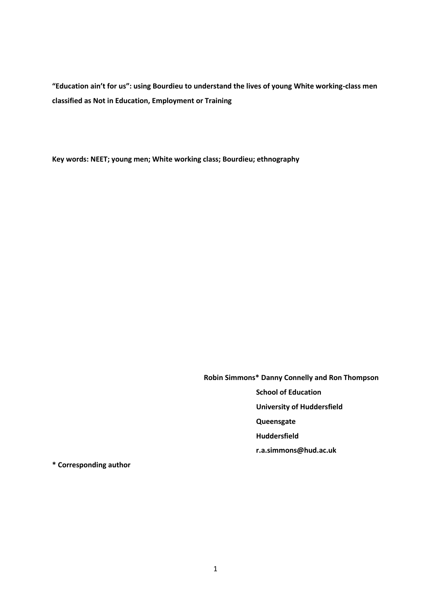**"Education ain't for us": using Bourdieu to understand the lives of young White working-class men classified as Not in Education, Employment or Training**

**Key words: NEET; young men; White working class; Bourdieu; ethnography** 

**Robin Simmons\* Danny Connelly and Ron Thompson**

 **School of Education**

 **University of Huddersfield**

 **Queensgate**

**Huddersfield**

**r.a.simmons@hud.ac.uk**

**\* Corresponding author**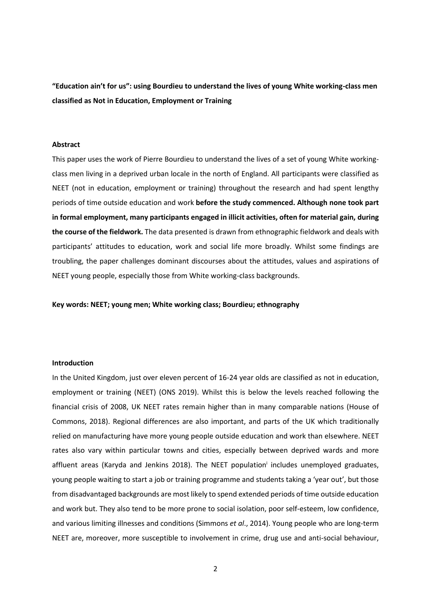**"Education ain't for us": using Bourdieu to understand the lives of young White working-class men classified as Not in Education, Employment or Training**

## **Abstract**

This paper uses the work of Pierre Bourdieu to understand the lives of a set of young White workingclass men living in a deprived urban locale in the north of England. All participants were classified as NEET (not in education, employment or training) throughout the research and had spent lengthy periods of time outside education and work **before the study commenced. Although none took part in formal employment, many participants engaged in illicit activities, often for material gain, during the course of the fieldwork.** The data presented is drawn from ethnographic fieldwork and deals with participants' attitudes to education, work and social life more broadly. Whilst some findings are troubling, the paper challenges dominant discourses about the attitudes, values and aspirations of NEET young people, especially those from White working-class backgrounds.

**Key words: NEET; young men; White working class; Bourdieu; ethnography** 

## **Introduction**

In the United Kingdom, just over eleven percent of 16-24 year olds are classified as not in education, employment or training (NEET) (ONS 2019). Whilst this is below the levels reached following the financial crisis of 2008, UK NEET rates remain higher than in many comparable nations (House of Commons, 2018). Regional differences are also important, and parts of the UK which traditionally relied on manufacturing have more young people outside education and work than elsewhere. NEET rates also vary within particular towns and cities, especially between deprived wards and more affluent areas (Karyda and Jenkins 2018). The NEET population<sup>i</sup> includes unemployed graduates, young people waiting to start a job or training programme and students taking a 'year out', but those from disadvantaged backgrounds are most likely to spend extended periods of time outside education and work but. They also tend to be more prone to social isolation, poor self-esteem, low confidence, and various limiting illnesses and conditions (Simmons *et al*., 2014). Young people who are long-term NEET are, moreover, more susceptible to involvement in crime, drug use and anti-social behaviour,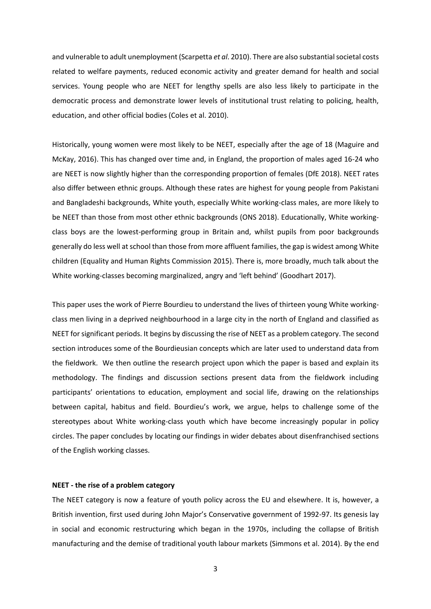and vulnerable to adult unemployment (Scarpetta *et al*. 2010). There are also substantial societal costs related to welfare payments, reduced economic activity and greater demand for health and social services. Young people who are NEET for lengthy spells are also less likely to participate in the democratic process and demonstrate lower levels of institutional trust relating to policing, health, education, and other official bodies (Coles et al. 2010).

Historically, young women were most likely to be NEET, especially after the age of 18 (Maguire and McKay, 2016). This has changed over time and, in England, the proportion of males aged 16-24 who are NEET is now slightly higher than the corresponding proportion of females (DfE 2018). NEET rates also differ between ethnic groups. Although these rates are highest for young people from Pakistani and Bangladeshi backgrounds, White youth, especially White working-class males, are more likely to be NEET than those from most other ethnic backgrounds (ONS 2018). Educationally, White workingclass boys are the lowest-performing group in Britain and, whilst pupils from poor backgrounds generally do less well at school than those from more affluent families, the gap is widest among White children (Equality and Human Rights Commission 2015). There is, more broadly, much talk about the White working-classes becoming marginalized, angry and 'left behind' (Goodhart 2017).

This paper uses the work of Pierre Bourdieu to understand the lives of thirteen young White workingclass men living in a deprived neighbourhood in a large city in the north of England and classified as NEET for significant periods. It begins by discussing the rise of NEET as a problem category. The second section introduces some of the Bourdieusian concepts which are later used to understand data from the fieldwork. We then outline the research project upon which the paper is based and explain its methodology. The findings and discussion sections present data from the fieldwork including participants' orientations to education, employment and social life, drawing on the relationships between capital, habitus and field. Bourdieu's work, we argue, helps to challenge some of the stereotypes about White working-class youth which have become increasingly popular in policy circles. The paper concludes by locating our findings in wider debates about disenfranchised sections of the English working classes.

### **NEET - the rise of a problem category**

The NEET category is now a feature of youth policy across the EU and elsewhere. It is, however, a British invention, first used during John Major's Conservative government of 1992-97. Its genesis lay in social and economic restructuring which began in the 1970s, including the collapse of British manufacturing and the demise of traditional youth labour markets (Simmons et al. 2014). By the end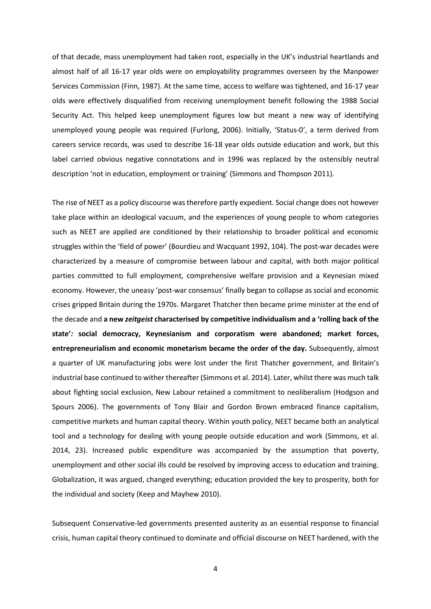of that decade, mass unemployment had taken root, especially in the UK's industrial heartlands and almost half of all 16-17 year olds were on employability programmes overseen by the Manpower Services Commission (Finn, 1987). At the same time, access to welfare was tightened, and 16-17 year olds were effectively disqualified from receiving unemployment benefit following the 1988 Social Security Act. This helped keep unemployment figures low but meant a new way of identifying unemployed young people was required (Furlong, 2006). Initially, 'Status-0', a term derived from careers service records, was used to describe 16-18 year olds outside education and work, but this label carried obvious negative connotations and in 1996 was replaced by the ostensibly neutral description 'not in education, employment or training' (Simmons and Thompson 2011).

The rise of NEET as a policy discourse was therefore partly expedient. Social change does not however take place within an ideological vacuum, and the experiences of young people to whom categories such as NEET are applied are conditioned by their relationship to broader political and economic struggles within the 'field of power' (Bourdieu and Wacquant 1992, 104). The post-war decades were characterized by a measure of compromise between labour and capital, with both major political parties committed to full employment, comprehensive welfare provision and a Keynesian mixed economy. However, the uneasy 'post-war consensus' finally began to collapse as social and economic crises gripped Britain during the 1970s. Margaret Thatcher then became prime minister at the end of the decade and **a new** *zeitgeist* **characterised by competitive individualism and a 'rolling back of the state'***:* **social democracy, Keynesianism and corporatism were abandoned; market forces, entrepreneurialism and economic monetarism became the order of the day.** Subsequently, almost a quarter of UK manufacturing jobs were lost under the first Thatcher government, and Britain's industrial base continued to wither thereafter (Simmons et al. 2014). Later, whilst there was much talk about fighting social exclusion, New Labour retained a commitment to neoliberalism (Hodgson and Spours 2006). The governments of Tony Blair and Gordon Brown embraced finance capitalism, competitive markets and human capital theory. Within youth policy, NEET became both an analytical tool and a technology for dealing with young people outside education and work (Simmons, et al. 2014, 23). Increased public expenditure was accompanied by the assumption that poverty, unemployment and other social ills could be resolved by improving access to education and training. Globalization, it was argued, changed everything; education provided the key to prosperity, both for the individual and society (Keep and Mayhew 2010).

Subsequent Conservative-led governments presented austerity as an essential response to financial crisis, human capital theory continued to dominate and official discourse on NEET hardened, with the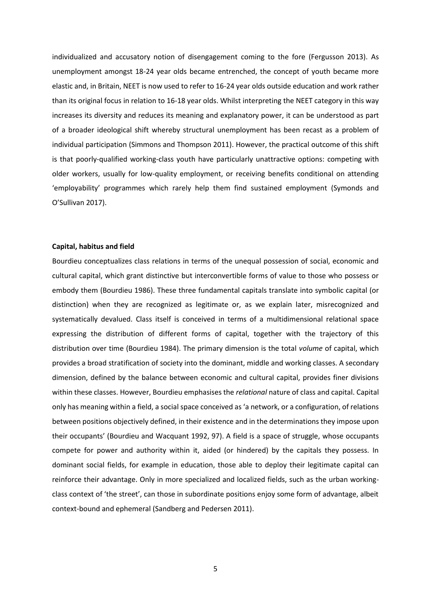individualized and accusatory notion of disengagement coming to the fore (Fergusson 2013). As unemployment amongst 18-24 year olds became entrenched, the concept of youth became more elastic and, in Britain, NEET is now used to refer to 16-24 year olds outside education and work rather than its original focus in relation to 16-18 year olds. Whilst interpreting the NEET category in this way increases its diversity and reduces its meaning and explanatory power, it can be understood as part of a broader ideological shift whereby structural unemployment has been recast as a problem of individual participation (Simmons and Thompson 2011). However, the practical outcome of this shift is that poorly-qualified working-class youth have particularly unattractive options: competing with older workers, usually for low-quality employment, or receiving benefits conditional on attending 'employability' programmes which rarely help them find sustained employment (Symonds and O'Sullivan 2017).

#### **Capital, habitus and field**

Bourdieu conceptualizes class relations in terms of the unequal possession of social, economic and cultural capital, which grant distinctive but interconvertible forms of value to those who possess or embody them (Bourdieu 1986). These three fundamental capitals translate into symbolic capital (or distinction) when they are recognized as legitimate or, as we explain later, misrecognized and systematically devalued. Class itself is conceived in terms of a multidimensional relational space expressing the distribution of different forms of capital, together with the trajectory of this distribution over time (Bourdieu 1984). The primary dimension is the total *volume* of capital, which provides a broad stratification of society into the dominant, middle and working classes. A secondary dimension, defined by the balance between economic and cultural capital, provides finer divisions within these classes. However, Bourdieu emphasises the *relational* nature of class and capital. Capital only has meaning within a field, a social space conceived as 'a network, or a configuration, of relations between positions objectively defined, in their existence and in the determinations they impose upon their occupants' (Bourdieu and Wacquant 1992, 97). A field is a space of struggle, whose occupants compete for power and authority within it, aided (or hindered) by the capitals they possess. In dominant social fields, for example in education, those able to deploy their legitimate capital can reinforce their advantage. Only in more specialized and localized fields, such as the urban workingclass context of 'the street', can those in subordinate positions enjoy some form of advantage, albeit context-bound and ephemeral (Sandberg and Pedersen 2011).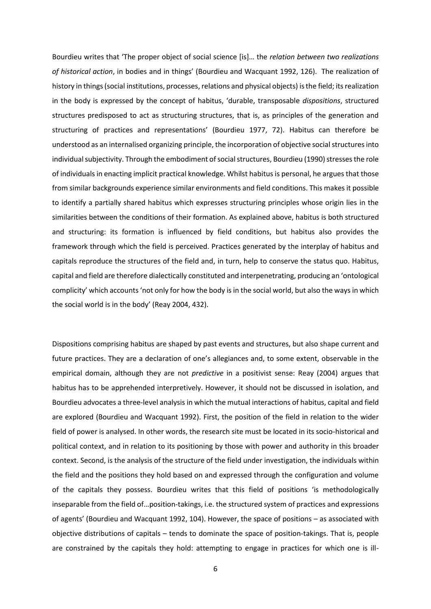Bourdieu writes that 'The proper object of social science [is]… the *relation between two realizations of historical action*, in bodies and in things' (Bourdieu and Wacquant 1992, 126). The realization of history in things (social institutions, processes, relations and physical objects) is the field; its realization in the body is expressed by the concept of habitus, 'durable, transposable *dispositions*, structured structures predisposed to act as structuring structures, that is, as principles of the generation and structuring of practices and representations' (Bourdieu 1977, 72). Habitus can therefore be understood as an internalised organizing principle, the incorporation of objective social structures into individual subjectivity. Through the embodiment of social structures, Bourdieu (1990) stresses the role of individuals in enacting implicit practical knowledge. Whilst habitus is personal, he argues that those from similar backgrounds experience similar environments and field conditions. This makes it possible to identify a partially shared habitus which expresses structuring principles whose origin lies in the similarities between the conditions of their formation. As explained above, habitus is both structured and structuring: its formation is influenced by field conditions, but habitus also provides the framework through which the field is perceived. Practices generated by the interplay of habitus and capitals reproduce the structures of the field and, in turn, help to conserve the status quo. Habitus, capital and field are therefore dialectically constituted and interpenetrating, producing an 'ontological complicity' which accounts 'not only for how the body is in the social world, but also the ways in which the social world is in the body' (Reay 2004, 432).

Dispositions comprising habitus are shaped by past events and structures, but also shape current and future practices. They are a declaration of one's allegiances and, to some extent, observable in the empirical domain, although they are not *predictive* in a positivist sense: Reay (2004) argues that habitus has to be apprehended interpretively. However, it should not be discussed in isolation, and Bourdieu advocates a three-level analysis in which the mutual interactions of habitus, capital and field are explored (Bourdieu and Wacquant 1992). First, the position of the field in relation to the wider field of power is analysed. In other words, the research site must be located in its socio-historical and political context, and in relation to its positioning by those with power and authority in this broader context. Second, is the analysis of the structure of the field under investigation, the individuals within the field and the positions they hold based on and expressed through the configuration and volume of the capitals they possess. Bourdieu writes that this field of positions 'is methodologically inseparable from the field of…position-takings, i.e. the structured system of practices and expressions of agents' (Bourdieu and Wacquant 1992, 104). However, the space of positions – as associated with objective distributions of capitals – tends to dominate the space of position-takings. That is, people are constrained by the capitals they hold: attempting to engage in practices for which one is ill-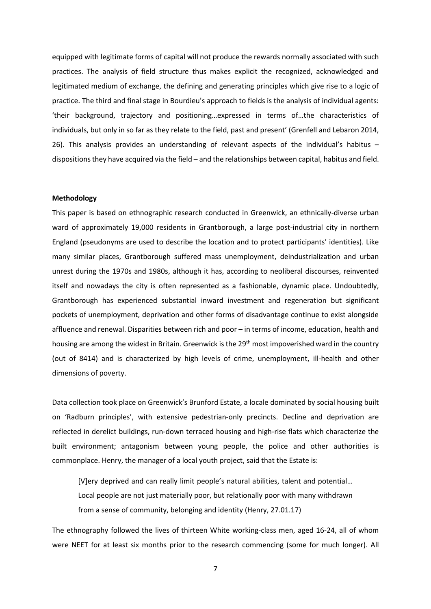equipped with legitimate forms of capital will not produce the rewards normally associated with such practices. The analysis of field structure thus makes explicit the recognized, acknowledged and legitimated medium of exchange, the defining and generating principles which give rise to a logic of practice. The third and final stage in Bourdieu's approach to fields is the analysis of individual agents: 'their background, trajectory and positioning…expressed in terms of…the characteristics of individuals, but only in so far as they relate to the field, past and present' (Grenfell and Lebaron 2014, 26). This analysis provides an understanding of relevant aspects of the individual's habitus – dispositions they have acquired via the field – and the relationships between capital, habitus and field.

### **Methodology**

This paper is based on ethnographic research conducted in Greenwick, an ethnically-diverse urban ward of approximately 19,000 residents in Grantborough, a large post-industrial city in northern England (pseudonyms are used to describe the location and to protect participants' identities). Like many similar places, Grantborough suffered mass unemployment, deindustrialization and urban unrest during the 1970s and 1980s, although it has, according to neoliberal discourses, reinvented itself and nowadays the city is often represented as a fashionable, dynamic place. Undoubtedly, Grantborough has experienced substantial inward investment and regeneration but significant pockets of unemployment, deprivation and other forms of disadvantage continue to exist alongside affluence and renewal. Disparities between rich and poor – in terms of income, education, health and housing are among the widest in Britain. Greenwick is the 29<sup>th</sup> most impoverished ward in the country (out of 8414) and is characterized by high levels of crime, unemployment, ill-health and other dimensions of poverty.

Data collection took place on Greenwick's Brunford Estate, a locale dominated by social housing built on 'Radburn principles', with extensive pedestrian-only precincts. Decline and deprivation are reflected in derelict buildings, run-down terraced housing and high-rise flats which characterize the built environment; antagonism between young people, the police and other authorities is commonplace. Henry, the manager of a local youth project, said that the Estate is:

[V]ery deprived and can really limit people's natural abilities, talent and potential… Local people are not just materially poor, but relationally poor with many withdrawn from a sense of community, belonging and identity (Henry, 27.01.17)

The ethnography followed the lives of thirteen White working-class men, aged 16-24, all of whom were NEET for at least six months prior to the research commencing (some for much longer). All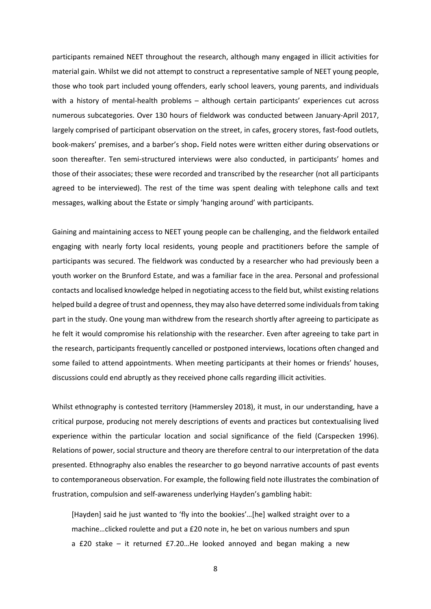participants remained NEET throughout the research, although many engaged in illicit activities for material gain. Whilst we did not attempt to construct a representative sample of NEET young people, those who took part included young offenders, early school leavers, young parents, and individuals with a history of mental-health problems – although certain participants' experiences cut across numerous subcategories. Over 130 hours of fieldwork was conducted between January-April 2017, largely comprised of participant observation on the street, in cafes, grocery stores, fast-food outlets, book-makers' premises, and a barber's shop**.** Field notes were written either during observations or soon thereafter. Ten semi-structured interviews were also conducted, in participants' homes and those of their associates; these were recorded and transcribed by the researcher (not all participants agreed to be interviewed). The rest of the time was spent dealing with telephone calls and text messages, walking about the Estate or simply 'hanging around' with participants.

Gaining and maintaining access to NEET young people can be challenging, and the fieldwork entailed engaging with nearly forty local residents, young people and practitioners before the sample of participants was secured. The fieldwork was conducted by a researcher who had previously been a youth worker on the Brunford Estate, and was a familiar face in the area. Personal and professional contacts and localised knowledge helped in negotiating access to the field but, whilst existing relations helped build a degree of trust and openness, they may also have deterred some individuals from taking part in the study. One young man withdrew from the research shortly after agreeing to participate as he felt it would compromise his relationship with the researcher. Even after agreeing to take part in the research, participants frequently cancelled or postponed interviews, locations often changed and some failed to attend appointments. When meeting participants at their homes or friends' houses, discussions could end abruptly as they received phone calls regarding illicit activities.

Whilst ethnography is contested territory (Hammersley 2018), it must, in our understanding, have a critical purpose, producing not merely descriptions of events and practices but contextualising lived experience within the particular location and social significance of the field (Carspecken 1996). Relations of power, social structure and theory are therefore central to our interpretation of the data presented. Ethnography also enables the researcher to go beyond narrative accounts of past events to contemporaneous observation. For example, the following field note illustrates the combination of frustration, compulsion and self-awareness underlying Hayden's gambling habit:

[Hayden] said he just wanted to 'fly into the bookies'…[he] walked straight over to a machine…clicked roulette and put a £20 note in, he bet on various numbers and spun a £20 stake – it returned £7.20…He looked annoyed and began making a new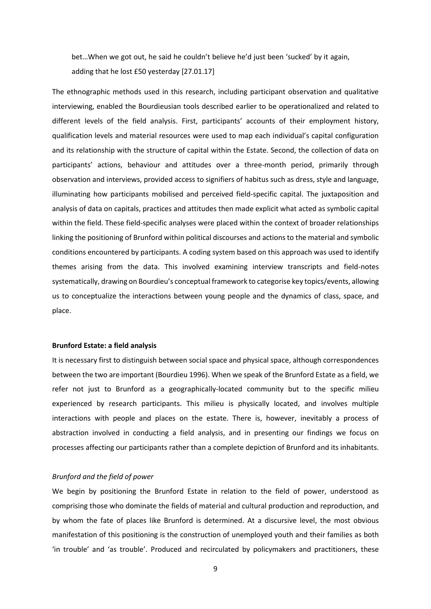bet…When we got out, he said he couldn't believe he'd just been 'sucked' by it again, adding that he lost £50 yesterday [27.01.17]

The ethnographic methods used in this research, including participant observation and qualitative interviewing, enabled the Bourdieusian tools described earlier to be operationalized and related to different levels of the field analysis. First, participants' accounts of their employment history, qualification levels and material resources were used to map each individual's capital configuration and its relationship with the structure of capital within the Estate. Second, the collection of data on participants' actions, behaviour and attitudes over a three-month period, primarily through observation and interviews, provided access to signifiers of habitus such as dress, style and language, illuminating how participants mobilised and perceived field-specific capital. The juxtaposition and analysis of data on capitals, practices and attitudes then made explicit what acted as symbolic capital within the field. These field-specific analyses were placed within the context of broader relationships linking the positioning of Brunford within political discourses and actions to the material and symbolic conditions encountered by participants. A coding system based on this approach was used to identify themes arising from the data. This involved examining interview transcripts and field-notes systematically, drawing on Bourdieu's conceptual framework to categorise key topics/events, allowing us to conceptualize the interactions between young people and the dynamics of class, space, and place.

# **Brunford Estate: a field analysis**

It is necessary first to distinguish between social space and physical space, although correspondences between the two are important (Bourdieu 1996). When we speak of the Brunford Estate as a field, we refer not just to Brunford as a geographically-located community but to the specific milieu experienced by research participants. This milieu is physically located, and involves multiple interactions with people and places on the estate. There is, however, inevitably a process of abstraction involved in conducting a field analysis, and in presenting our findings we focus on processes affecting our participants rather than a complete depiction of Brunford and its inhabitants.

#### *Brunford and the field of power*

We begin by positioning the Brunford Estate in relation to the field of power, understood as comprising those who dominate the fields of material and cultural production and reproduction, and by whom the fate of places like Brunford is determined. At a discursive level, the most obvious manifestation of this positioning is the construction of unemployed youth and their families as both 'in trouble' and 'as trouble'. Produced and recirculated by policymakers and practitioners, these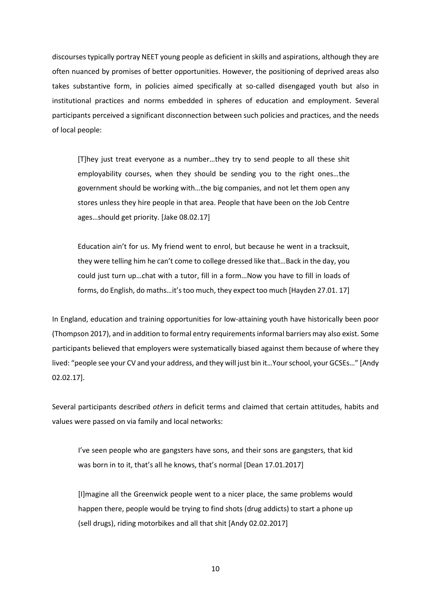discourses typically portray NEET young people as deficient in skills and aspirations, although they are often nuanced by promises of better opportunities. However, the positioning of deprived areas also takes substantive form, in policies aimed specifically at so-called disengaged youth but also in institutional practices and norms embedded in spheres of education and employment. Several participants perceived a significant disconnection between such policies and practices, and the needs of local people:

[T]hey just treat everyone as a number…they try to send people to all these shit employability courses, when they should be sending you to the right ones…the government should be working with…the big companies, and not let them open any stores unless they hire people in that area. People that have been on the Job Centre ages…should get priority. [Jake 08.02.17]

Education ain't for us. My friend went to enrol, but because he went in a tracksuit, they were telling him he can't come to college dressed like that…Back in the day, you could just turn up…chat with a tutor, fill in a form…Now you have to fill in loads of forms, do English, do maths…it's too much, they expect too much [Hayden 27.01. 17]

In England, education and training opportunities for low-attaining youth have historically been poor (Thompson 2017), and in addition to formal entry requirements informal barriers may also exist. Some participants believed that employers were systematically biased against them because of where they lived: "people see your CV and your address, and they will just bin it…Your school, your GCSEs…" [Andy 02.02.17].

Several participants described *others* in deficit terms and claimed that certain attitudes, habits and values were passed on via family and local networks:

I've seen people who are gangsters have sons, and their sons are gangsters, that kid was born in to it, that's all he knows, that's normal [Dean 17.01.2017]

[I]magine all the Greenwick people went to a nicer place, the same problems would happen there, people would be trying to find shots (drug addicts) to start a phone up (sell drugs), riding motorbikes and all that shit [Andy 02.02.2017]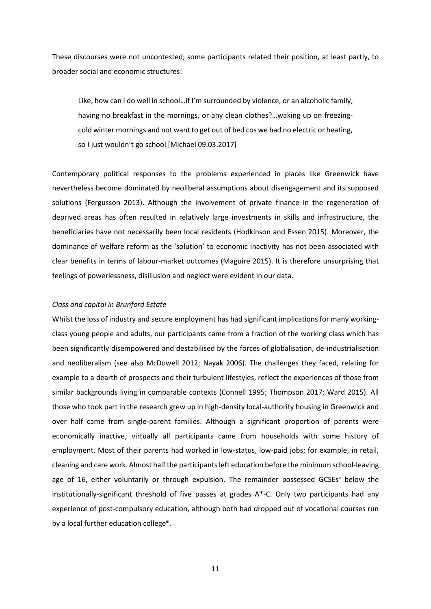These discourses were not uncontested; some participants related their position, at least partly, to broader social and economic structures:

Like, how can I do well in school…if I'm surrounded by violence, or an alcoholic family, having no breakfast in the mornings, or any clean clothes?…waking up on freezingcold winter mornings and not want to get out of bed cos we had no electric or heating, so I just wouldn't go school [Michael 09.03.2017]

Contemporary political responses to the problems experienced in places like Greenwick have nevertheless become dominated by neoliberal assumptions about disengagement and its supposed solutions (Fergusson 2013). Although the involvement of private finance in the regeneration of deprived areas has often resulted in relatively large investments in skills and infrastructure, the beneficiaries have not necessarily been local residents (Hodkinson and Essen 2015). Moreover, the dominance of welfare reform as the 'solution' to economic inactivity has not been associated with clear benefits in terms of labour-market outcomes (Maguire 2015). It is therefore unsurprising that feelings of powerlessness, disillusion and neglect were evident in our data.

# *Class and capital in Brunford Estate*

Whilst the loss of industry and secure employment has had significant implications for many workingclass young people and adults, our participants came from a fraction of the working class which has been significantly disempowered and destabilised by the forces of globalisation, de-industrialisation and neoliberalism (see also McDowell 2012; Nayak 2006). The challenges they faced, relating for example to a dearth of prospects and their turbulent lifestyles, reflect the experiences of those from similar backgrounds living in comparable contexts (Connell 1995; Thompson 2017; Ward 2015). All those who took part in the research grew up in high-density local-authority housing in Greenwick and over half came from single-parent families. Although a significant proportion of parents were economically inactive, virtually all participants came from households with some history of employment. Most of their parents had worked in low-status, low-paid jobs; for example, in retail, cleaning and care work. Almost half the participantsleft education before the minimum school-leaving age of 16, either voluntarily or through expulsion. The remainder possessed GCSEs<sup>ii</sup> below the institutionally-significant threshold of five passes at grades A\*-C. Only two participants had any experience of post-compulsory education, although both had dropped out of vocational courses run by a local further education college<sup>iii</sup>.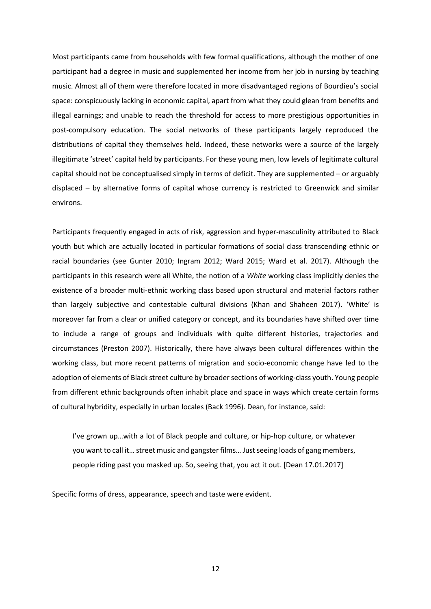Most participants came from households with few formal qualifications, although the mother of one participant had a degree in music and supplemented her income from her job in nursing by teaching music. Almost all of them were therefore located in more disadvantaged regions of Bourdieu's social space: conspicuously lacking in economic capital, apart from what they could glean from benefits and illegal earnings; and unable to reach the threshold for access to more prestigious opportunities in post-compulsory education. The social networks of these participants largely reproduced the distributions of capital they themselves held. Indeed, these networks were a source of the largely illegitimate 'street' capital held by participants. For these young men, low levels of legitimate cultural capital should not be conceptualised simply in terms of deficit. They are supplemented – or arguably displaced – by alternative forms of capital whose currency is restricted to Greenwick and similar environs.

Participants frequently engaged in acts of risk, aggression and hyper-masculinity attributed to Black youth but which are actually located in particular formations of social class transcending ethnic or racial boundaries (see Gunter 2010; Ingram 2012; Ward 2015; Ward et al. 2017). Although the participants in this research were all White, the notion of a *White* working class implicitly denies the existence of a broader multi-ethnic working class based upon structural and material factors rather than largely subjective and contestable cultural divisions (Khan and Shaheen 2017). 'White' is moreover far from a clear or unified category or concept, and its boundaries have shifted over time to include a range of groups and individuals with quite different histories, trajectories and circumstances (Preston 2007). Historically, there have always been cultural differences within the working class, but more recent patterns of migration and socio-economic change have led to the adoption of elements of Black street culture by broader sections of working-class youth. Young people from different ethnic backgrounds often inhabit place and space in ways which create certain forms of cultural hybridity, especially in urban locales (Back 1996). Dean, for instance, said:

I've grown up…with a lot of Black people and culture, or hip-hop culture, or whatever you want to call it… street music and gangster films… Just seeing loads of gang members, people riding past you masked up. So, seeing that, you act it out. [Dean 17.01.2017]

Specific forms of dress, appearance, speech and taste were evident.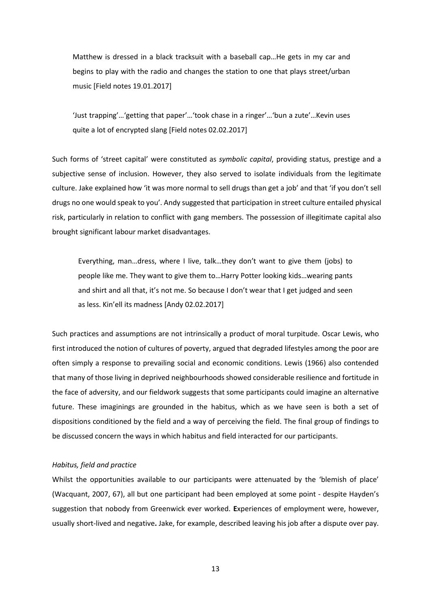Matthew is dressed in a black tracksuit with a baseball cap…He gets in my car and begins to play with the radio and changes the station to one that plays street/urban music [Field notes 19.01.2017]

'Just trapping'…'getting that paper'…'took chase in a ringer'…'bun a zute'…Kevin uses quite a lot of encrypted slang [Field notes 02.02.2017]

Such forms of 'street capital' were constituted as *symbolic capital*, providing status, prestige and a subjective sense of inclusion. However, they also served to isolate individuals from the legitimate culture. Jake explained how 'it was more normal to sell drugs than get a job' and that 'if you don't sell drugs no one would speak to you'. Andy suggested that participation in street culture entailed physical risk, particularly in relation to conflict with gang members. The possession of illegitimate capital also brought significant labour market disadvantages.

Everything, man…dress, where I live, talk…they don't want to give them (jobs) to people like me. They want to give them to…Harry Potter looking kids…wearing pants and shirt and all that, it's not me. So because I don't wear that I get judged and seen as less. Kin'ell its madness [Andy 02.02.2017]

Such practices and assumptions are not intrinsically a product of moral turpitude. Oscar Lewis, who first introduced the notion of cultures of poverty, argued that degraded lifestyles among the poor are often simply a response to prevailing social and economic conditions. Lewis (1966) also contended that many of those living in deprived neighbourhoods showed considerable resilience and fortitude in the face of adversity, and our fieldwork suggests that some participants could imagine an alternative future. These imaginings are grounded in the habitus, which as we have seen is both a set of dispositions conditioned by the field and a way of perceiving the field. The final group of findings to be discussed concern the ways in which habitus and field interacted for our participants.

# *Habitus, field and practice*

Whilst the opportunities available to our participants were attenuated by the 'blemish of place' (Wacquant, 2007, 67), all but one participant had been employed at some point - despite Hayden's suggestion that nobody from Greenwick ever worked. **E**xperiences of employment were, however, usually short-lived and negative**.** Jake, for example, described leaving his job after a dispute over pay.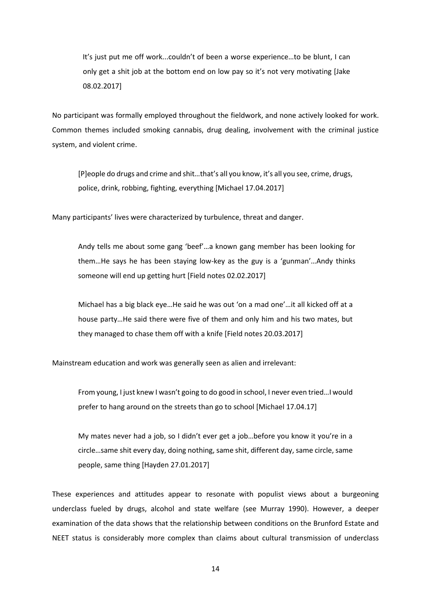It's just put me off work...couldn't of been a worse experience…to be blunt, I can only get a shit job at the bottom end on low pay so it's not very motivating [Jake 08.02.2017]

No participant was formally employed throughout the fieldwork, and none actively looked for work. Common themes included smoking cannabis, drug dealing, involvement with the criminal justice system, and violent crime.

[P]eople do drugs and crime and shit…that's all you know, it's all you see, crime, drugs, police, drink, robbing, fighting, everything [Michael 17.04.2017]

Many participants' lives were characterized by turbulence, threat and danger.

Andy tells me about some gang 'beef'…a known gang member has been looking for them…He says he has been staying low-key as the guy is a 'gunman'…Andy thinks someone will end up getting hurt [Field notes 02.02.2017]

Michael has a big black eye…He said he was out 'on a mad one'…it all kicked off at a house party…He said there were five of them and only him and his two mates, but they managed to chase them off with a knife [Field notes 20.03.2017]

Mainstream education and work was generally seen as alien and irrelevant:

From young, I just knew I wasn't going to do good in school, I never even tried…I would prefer to hang around on the streets than go to school [Michael 17.04.17]

My mates never had a job, so I didn't ever get a job…before you know it you're in a circle…same shit every day, doing nothing, same shit, different day, same circle, same people, same thing [Hayden 27.01.2017]

These experiences and attitudes appear to resonate with populist views about a burgeoning underclass fueled by drugs, alcohol and state welfare (see Murray 1990). However, a deeper examination of the data shows that the relationship between conditions on the Brunford Estate and NEET status is considerably more complex than claims about cultural transmission of underclass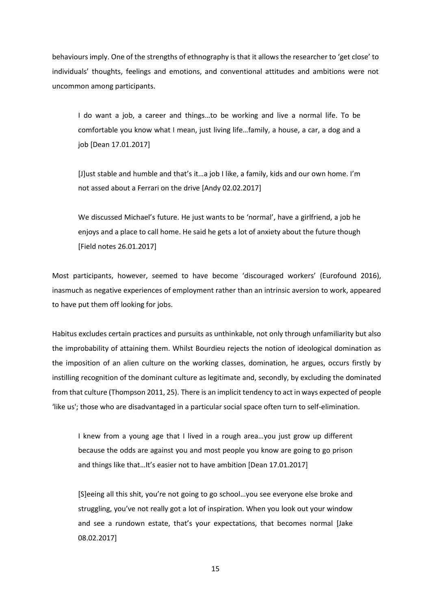behaviours imply. One of the strengths of ethnography is that it allows the researcher to 'get close' to individuals' thoughts, feelings and emotions, and conventional attitudes and ambitions were not uncommon among participants.

I do want a job, a career and things…to be working and live a normal life. To be comfortable you know what I mean, just living life…family, a house, a car, a dog and a job [Dean 17.01.2017]

[J]ust stable and humble and that's it…a job I like, a family, kids and our own home. I'm not assed about a Ferrari on the drive [Andy 02.02.2017]

We discussed Michael's future. He just wants to be 'normal', have a girlfriend, a job he enjoys and a place to call home. He said he gets a lot of anxiety about the future though [Field notes 26.01.2017]

Most participants, however, seemed to have become 'discouraged workers' (Eurofound 2016), inasmuch as negative experiences of employment rather than an intrinsic aversion to work, appeared to have put them off looking for jobs.

Habitus excludes certain practices and pursuits as unthinkable, not only through unfamiliarity but also the improbability of attaining them. Whilst Bourdieu rejects the notion of ideological domination as the imposition of an alien culture on the working classes, domination, he argues, occurs firstly by instilling recognition of the dominant culture as legitimate and, secondly, by excluding the dominated from that culture (Thompson 2011, 25). There is an implicit tendency to act in ways expected of people 'like us'; those who are disadvantaged in a particular social space often turn to self-elimination.

I knew from a young age that I lived in a rough area…you just grow up different because the odds are against you and most people you know are going to go prison and things like that…It's easier not to have ambition [Dean 17.01.2017]

[S]eeing all this shit, you're not going to go school…you see everyone else broke and struggling, you've not really got a lot of inspiration. When you look out your window and see a rundown estate, that's your expectations, that becomes normal [Jake 08.02.2017]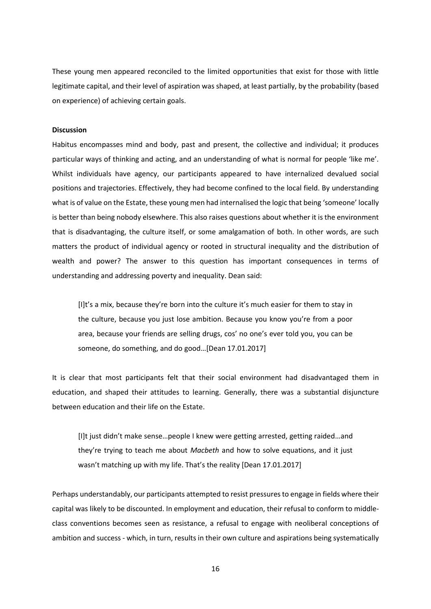These young men appeared reconciled to the limited opportunities that exist for those with little legitimate capital, and their level of aspiration was shaped, at least partially, by the probability (based on experience) of achieving certain goals.

## **Discussion**

Habitus encompasses mind and body, past and present, the collective and individual; it produces particular ways of thinking and acting, and an understanding of what is normal for people 'like me'. Whilst individuals have agency, our participants appeared to have internalized devalued social positions and trajectories. Effectively, they had become confined to the local field. By understanding what is of value on the Estate, these young men had internalised the logic that being 'someone' locally is better than being nobody elsewhere. This also raises questions about whether it is the environment that is disadvantaging, the culture itself, or some amalgamation of both. In other words, are such matters the product of individual agency or rooted in structural inequality and the distribution of wealth and power? The answer to this question has important consequences in terms of understanding and addressing poverty and inequality. Dean said:

[I]t's a mix, because they're born into the culture it's much easier for them to stay in the culture, because you just lose ambition. Because you know you're from a poor area, because your friends are selling drugs, cos' no one's ever told you, you can be someone, do something, and do good…[Dean 17.01.2017]

It is clear that most participants felt that their social environment had disadvantaged them in education, and shaped their attitudes to learning. Generally, there was a substantial disjuncture between education and their life on the Estate.

[I]t just didn't make sense…people I knew were getting arrested, getting raided…and they're trying to teach me about *Macbeth* and how to solve equations, and it just wasn't matching up with my life. That's the reality [Dean 17.01.2017]

Perhaps understandably, our participants attempted to resist pressures to engage in fields where their capital was likely to be discounted. In employment and education, their refusal to conform to middleclass conventions becomes seen as resistance, a refusal to engage with neoliberal conceptions of ambition and success - which, in turn, results in their own culture and aspirations being systematically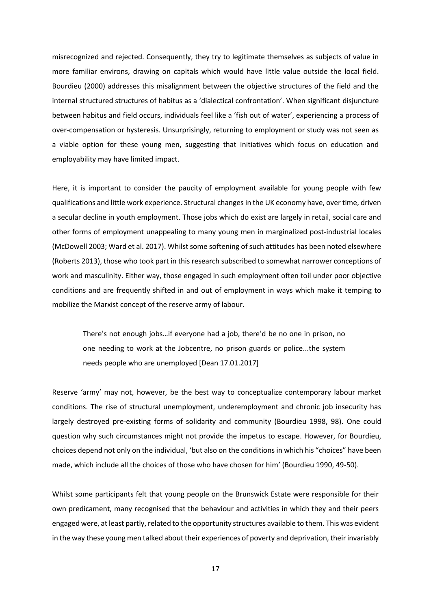misrecognized and rejected. Consequently, they try to legitimate themselves as subjects of value in more familiar environs, drawing on capitals which would have little value outside the local field. Bourdieu (2000) addresses this misalignment between the objective structures of the field and the internal structured structures of habitus as a 'dialectical confrontation'. When significant disjuncture between habitus and field occurs, individuals feel like a 'fish out of water', experiencing a process of over-compensation or hysteresis. Unsurprisingly, returning to employment or study was not seen as a viable option for these young men, suggesting that initiatives which focus on education and employability may have limited impact.

Here, it is important to consider the paucity of employment available for young people with few qualifications and little work experience. Structural changes in the UK economy have, over time, driven a secular decline in youth employment. Those jobs which do exist are largely in retail, social care and other forms of employment unappealing to many young men in marginalized post-industrial locales (McDowell 2003; Ward et al. 2017). Whilst some softening of such attitudes has been noted elsewhere (Roberts 2013), those who took part in this research subscribed to somewhat narrower conceptions of work and masculinity. Either way, those engaged in such employment often toil under poor objective conditions and are frequently shifted in and out of employment in ways which make it temping to mobilize the Marxist concept of the reserve army of labour.

There's not enough jobs…if everyone had a job, there'd be no one in prison, no one needing to work at the Jobcentre, no prison guards or police...the system needs people who are unemployed [Dean 17.01.2017]

Reserve 'army' may not, however, be the best way to conceptualize contemporary labour market conditions. The rise of structural unemployment, underemployment and chronic job insecurity has largely destroyed pre-existing forms of solidarity and community (Bourdieu 1998, 98). One could question why such circumstances might not provide the impetus to escape. However, for Bourdieu, choices depend not only on the individual, 'but also on the conditions in which his "choices" have been made, which include all the choices of those who have chosen for him' (Bourdieu 1990, 49-50).

Whilst some participants felt that young people on the Brunswick Estate were responsible for their own predicament, many recognised that the behaviour and activities in which they and their peers engaged were, at least partly, related to the opportunity structures available to them. This was evident in the way these young men talked about their experiences of poverty and deprivation, their invariably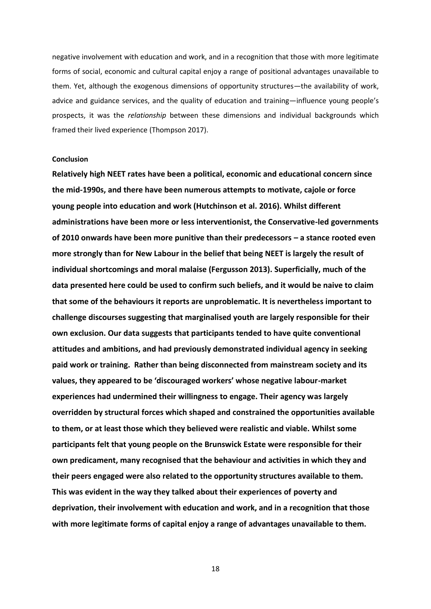negative involvement with education and work, and in a recognition that those with more legitimate forms of social, economic and cultural capital enjoy a range of positional advantages unavailable to them. Yet, although the exogenous dimensions of opportunity structures—the availability of work, advice and guidance services, and the quality of education and training—influence young people's prospects, it was the *relationship* between these dimensions and individual backgrounds which framed their lived experience (Thompson 2017).

### **Conclusion**

**Relatively high NEET rates have been a political, economic and educational concern since the mid-1990s, and there have been numerous attempts to motivate, cajole or force young people into education and work (Hutchinson et al. 2016). Whilst different administrations have been more or less interventionist, the Conservative-led governments of 2010 onwards have been more punitive than their predecessors – a stance rooted even more strongly than for New Labour in the belief that being NEET is largely the result of individual shortcomings and moral malaise (Fergusson 2013). Superficially, much of the data presented here could be used to confirm such beliefs, and it would be naive to claim that some of the behaviours it reports are unproblematic. It is nevertheless important to challenge discourses suggesting that marginalised youth are largely responsible for their own exclusion. Our data suggests that participants tended to have quite conventional attitudes and ambitions, and had previously demonstrated individual agency in seeking paid work or training. Rather than being disconnected from mainstream society and its values, they appeared to be 'discouraged workers' whose negative labour-market experiences had undermined their willingness to engage. Their agency was largely overridden by structural forces which shaped and constrained the opportunities available to them, or at least those which they believed were realistic and viable. Whilst some participants felt that young people on the Brunswick Estate were responsible for their own predicament, many recognised that the behaviour and activities in which they and their peers engaged were also related to the opportunity structures available to them. This was evident in the way they talked about their experiences of poverty and deprivation, their involvement with education and work, and in a recognition that those with more legitimate forms of capital enjoy a range of advantages unavailable to them.**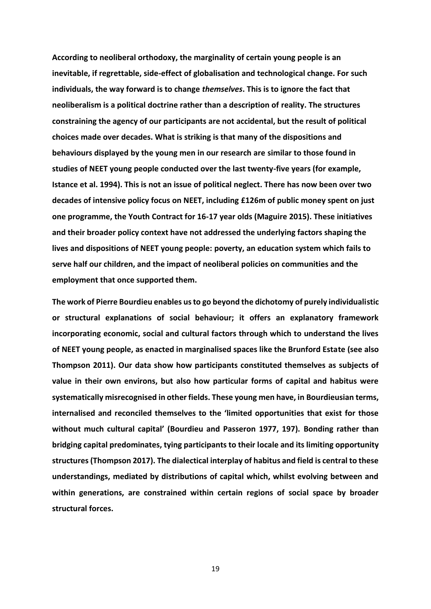**According to neoliberal orthodoxy, the marginality of certain young people is an inevitable, if regrettable, side-effect of globalisation and technological change. For such individuals, the way forward is to change** *themselves***. This is to ignore the fact that neoliberalism is a political doctrine rather than a description of reality. The structures constraining the agency of our participants are not accidental, but the result of political choices made over decades. What is striking is that many of the dispositions and behaviours displayed by the young men in our research are similar to those found in studies of NEET young people conducted over the last twenty-five years (for example, Istance et al. 1994). This is not an issue of political neglect. There has now been over two decades of intensive policy focus on NEET, including £126m of public money spent on just one programme, the Youth Contract for 16-17 year olds (Maguire 2015). These initiatives and their broader policy context have not addressed the underlying factors shaping the lives and dispositions of NEET young people: poverty, an education system which fails to serve half our children, and the impact of neoliberal policies on communities and the employment that once supported them.** 

**The work of Pierre Bourdieu enables us to go beyond the dichotomy of purely individualistic or structural explanations of social behaviour; it offers an explanatory framework incorporating economic, social and cultural factors through which to understand the lives of NEET young people, as enacted in marginalised spaces like the Brunford Estate (see also Thompson 2011). Our data show how participants constituted themselves as subjects of value in their own environs, but also how particular forms of capital and habitus were systematically misrecognised in other fields. These young men have, in Bourdieusian terms, internalised and reconciled themselves to the 'limited opportunities that exist for those without much cultural capital' (Bourdieu and Passeron 1977, 197). Bonding rather than bridging capital predominates, tying participants to their locale and its limiting opportunity structures (Thompson 2017). The dialectical interplay of habitus and field is central to these understandings, mediated by distributions of capital which, whilst evolving between and within generations, are constrained within certain regions of social space by broader structural forces.**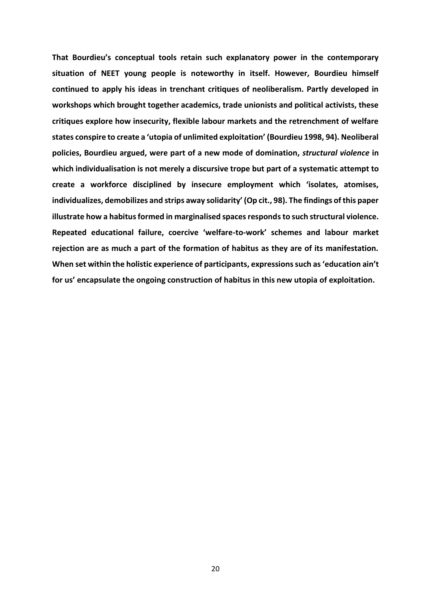**That Bourdieu's conceptual tools retain such explanatory power in the contemporary situation of NEET young people is noteworthy in itself. However, Bourdieu himself continued to apply his ideas in trenchant critiques of neoliberalism. Partly developed in workshops which brought together academics, trade unionists and political activists, these critiques explore how insecurity, flexible labour markets and the retrenchment of welfare states conspire to create a 'utopia of unlimited exploitation' (Bourdieu 1998, 94). Neoliberal policies, Bourdieu argued, were part of a new mode of domination,** *structural violence* **in which individualisation is not merely a discursive trope but part of a systematic attempt to create a workforce disciplined by insecure employment which 'isolates, atomises, individualizes, demobilizes and strips away solidarity' (Op cit., 98). The findings of this paper illustrate how a habitus formed in marginalised spaces responds to such structural violence. Repeated educational failure, coercive 'welfare-to-work' schemes and labour market rejection are as much a part of the formation of habitus as they are of its manifestation. When set within the holistic experience of participants, expressions such as 'education ain't for us' encapsulate the ongoing construction of habitus in this new utopia of exploitation.**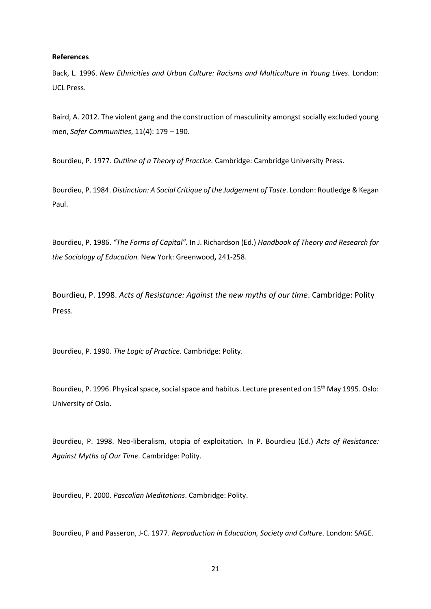### **References**

Back, L. 1996. *New Ethnicities and Urban Culture: Racisms and Multiculture in Young Lives.* London: UCL Press.

Baird, A. 2012. The violent gang and the construction of masculinity amongst socially excluded young men, *Safer Communities*, 11(4): 179 – 190.

Bourdieu, P. 1977. *Outline of a Theory of Practice.* Cambridge: Cambridge University Press.

Bourdieu, P. 1984. *Distinction: A Social Critique of the Judgement of Taste*. London: Routledge & Kegan Paul.

Bourdieu, P. 1986. *"The Forms of Capital".* In J. Richardson (Ed.) *Handbook of Theory and Research for the Sociology of Education.* New York: Greenwood**,** 241-258.

Bourdieu, P. 1998. *Acts of Resistance: Against the new myths of our time*. Cambridge: Polity Press.

Bourdieu, P. 1990. *The Logic of Practice*. Cambridge: Polity.

Bourdieu, P. 1996. Physical space, social space and habitus. Lecture presented on 15th May 1995. Oslo: University of Oslo.

Bourdieu, P. 1998. Neo-liberalism, utopia of exploitation*.* In P. Bourdieu (Ed.) *Acts of Resistance: Against Myths of Our Time.* Cambridge: Polity.

Bourdieu, P. 2000. *Pascalian Meditations*. Cambridge: Polity.

Bourdieu, P and Passeron, J-C. 1977. *Reproduction in Education, Society and Culture*. London: SAGE.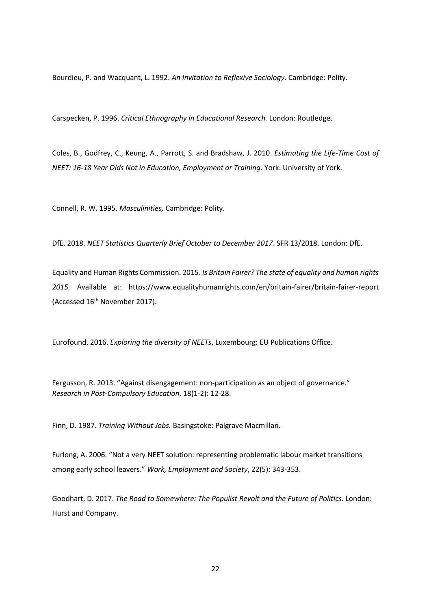Bourdieu, P. and Wacquant, L. 1992. *An Invitation to Reflexive Sociology*. Cambridge: Polity.

Carspecken, P. 1996. *Critical Ethnography in Educational Research.* London: Routledge.

Coles, B., Godfrey, C., Keung, A., Parrott, S. and Bradshaw, J. 2010. *Estimating the Life-Time Cost of NEET: 16-18 Year Olds Not in Education, Employment or Training.* York: University of York.

Connell, R. W. 1995. *Masculinities,* Cambridge: Polity.

DfE. 2018. *NEET Statistics Quarterly Brief October to December 2017*. SFR 13/2018. London: DfE.

Equality and Human Rights Commission. 2015. *Is Britain Fairer? The state of equality and human rights 2015.* Available at: <https://www.equalityhumanrights.com/en/britain-fairer/britain-fairer-report> (Accessed 16<sup>th</sup> November 2017).

Eurofound. 2016. *Exploring the diversity of NEETs*, Luxembourg: EU Publications Office.

Fergusson, R. 2013. "Against disengagement: non-participation as an object of governance." *Research in Post-Compulsory Education*, 18(1-2): 12-28.

Finn, D. 1987. *Training Without Jobs.* Basingstoke: Palgrave Macmillan.

Furlong, A. 2006. "Not a very NEET solution: representing problematic labour market transitions among early school leavers." *Work, Employment and Society*, 22(5): 343-353.

Goodhart, D. 2017. *The Road to Somewhere: The Populist Revolt and the Future of Politics.* London: Hurst and Company.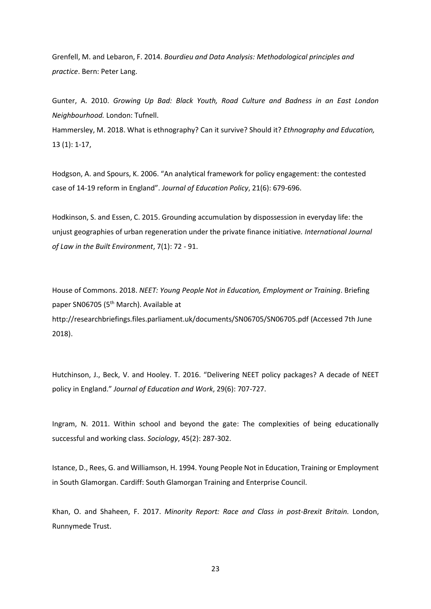Grenfell, M. and Lebaron, F. 2014. *Bourdieu and Data Analysis: Methodological principles and practice*. Bern: Peter Lang.

Gunter, A. 2010. *Growing Up Bad: Black Youth, Road Culture and Badness in an East London Neighbourhood.* London: Tufnell.

Hammersley, M. 2018. What is ethnography? Can it survive? Should it? *Ethnography and Education,* 13 (1): 1-17,

Hodgson, A. and Spours, K. 2006. "An analytical framework for policy engagement: the contested case of 14-19 reform in England". *Journal of Education Policy*, 21(6): 679-696.

Hodkinson, S. and Essen, C. 2015. Grounding accumulation by dispossession in everyday life: the unjust geographies of urban regeneration under the private finance initiative*. International Journal of Law in the Built Environment*, 7(1): 72 - 91.

House of Commons. 2018. *NEET: Young People Not in Education, Employment or Training*. Briefing paper SN06705 (5<sup>th</sup> March). Available at <http://researchbriefings.files.parliament.uk/documents/SN06705/SN06705.pdf> (Accessed 7th June 2018).

Hutchinson, J., Beck, V. and Hooley. T. 2016. "Delivering NEET policy packages? A decade of NEET policy in England." *Journal of Education and Work*, 29(6): 707-727.

Ingram, N. 2011. Within school and beyond the gate: The complexities of being educationally successful and working class. *Sociology*, 45(2): 287-302.

Istance, D., Rees, G. and Williamson, H. 1994. Young People Not in Education, Training or Employment in South Glamorgan. Cardiff: South Glamorgan Training and Enterprise Council.

Khan, O. and Shaheen, F. 2017. *Minority Report: Race and Class in post-Brexit Britain.* London, Runnymede Trust.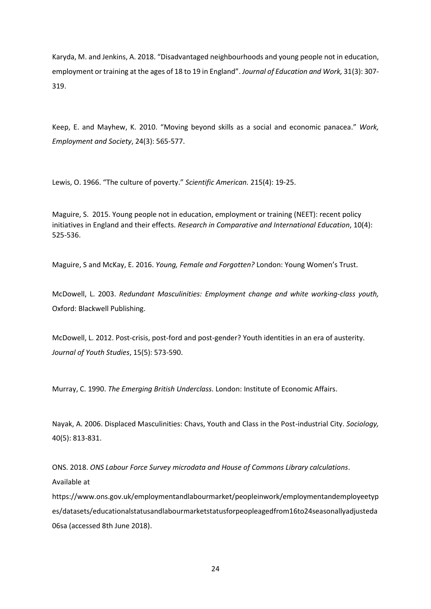Karyda, M. and Jenkins, A. 2018. "Disadvantaged neighbourhoods and young people not in education, employment or training at the ages of 18 to 19 in England". *Journal of Education and Work,* 31(3): 307- 319.

Keep, E. and Mayhew, K. 2010. "Moving beyond skills as a social and economic panacea." *Work, Employment and Society*, 24(3): 565-577.

Lewis, O. 1966. "The culture of poverty." *Scientific American.* 215(4): 19-25.

Maguire, S. 2015. Young people not in education, employment or training (NEET): recent policy initiatives in England and their effects. *Research in Comparative and International Education*, 10(4): 525-536.

Maguire, S and McKay, E. 2016. *Young, Female and Forgotten?* London: Young Women's Trust.

McDowell, L. 2003. *Redundant Masculinities: Employment change and white working-class youth,* Oxford: Blackwell Publishing.

McDowell, L. 2012. Post-crisis, post-ford and post-gender? Youth identities in an era of austerity. *Journal of Youth Studies*, 15(5): 573-590.

Murray, C. 1990. *The Emerging British Underclass.* London: Institute of Economic Affairs.

Nayak, A. 2006. Displaced Masculinities: Chavs, Youth and Class in the Post-industrial City. *Sociology,* 40(5): 813-831.

ONS. 2018. *ONS Labour Force Survey microdata and House of Commons Library calculations*.

Available at

[https://www.ons.gov.uk/employmentandlabourmarket/peopleinwork/employmentandemployeetyp](https://www.ons.gov.uk/employmentandlabourmarket/peopleinwork/employmentandemployeetypes/datasets/educationalstatusandlabourmarketstatusforpeopleagedfrom16to24seasonallyadjusteda06sa) [es/datasets/educationalstatusandlabourmarketstatusforpeopleagedfrom16to24seasonallyadjusteda](https://www.ons.gov.uk/employmentandlabourmarket/peopleinwork/employmentandemployeetypes/datasets/educationalstatusandlabourmarketstatusforpeopleagedfrom16to24seasonallyadjusteda06sa) [06sa](https://www.ons.gov.uk/employmentandlabourmarket/peopleinwork/employmentandemployeetypes/datasets/educationalstatusandlabourmarketstatusforpeopleagedfrom16to24seasonallyadjusteda06sa) (accessed 8th June 2018).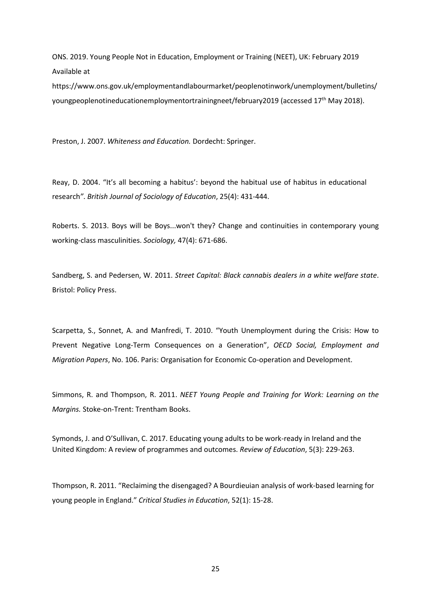ONS. 2019. Young People Not in Education, Employment or Training (NEET), UK: February 2019 Available at

[https://www.ons.gov.uk/employmentandlabourmarket/peoplenotinwork/unemployment/bulletins/](https://www.ons.gov.uk/employmentandlabourmarket/peoplenotinwork/unemployment/bulletins/youngpeoplenotineducationemploymentortrainingneet/february2019) [youngpeoplenotineducationemploymentortrainingneet/february2019](https://www.ons.gov.uk/employmentandlabourmarket/peoplenotinwork/unemployment/bulletins/youngpeoplenotineducationemploymentortrainingneet/february2019) (accessed 17th May 2018).

Preston, J. 2007. *Whiteness and Education.* Dordecht: Springer.

Reay, D. 2004. "It's all becoming a habitus': beyond the habitual use of habitus in educational research*"*. *British Journal of Sociology of Education*, 25(4): 431-444.

Roberts. S. 2013. Boys will be Boys...won't they? Change and continuities in contemporary young working-class masculinities. *Sociology,* 47(4): 671-686.

Sandberg, S. and Pedersen, W. 2011. *Street Capital: Black cannabis dealers in a white welfare state*. Bristol: Policy Press.

Scarpetta, S., Sonnet, A. and Manfredi, T. 2010. "Youth Unemployment during the Crisis: How to Prevent Negative Long-Term Consequences on a Generation", *OECD Social, Employment and Migration Papers*, No. 106. Paris: Organisation for Economic Co-operation and Development.

Simmons, R. and Thompson, R. 2011. *NEET Young People and Training for Work: Learning on the Margins.* Stoke-on-Trent: Trentham Books.

Symonds, J. and O'Sullivan, C. 2017. Educating young adults to be work-ready in Ireland and the United Kingdom: A review of programmes and outcomes. *Review of Education*, 5(3): 229-263.

Thompson, R. 2011. "Reclaiming the disengaged? A Bourdieuian analysis of work-based learning for young people in England." *Critical Studies in Education*, 52(1): 15-28.